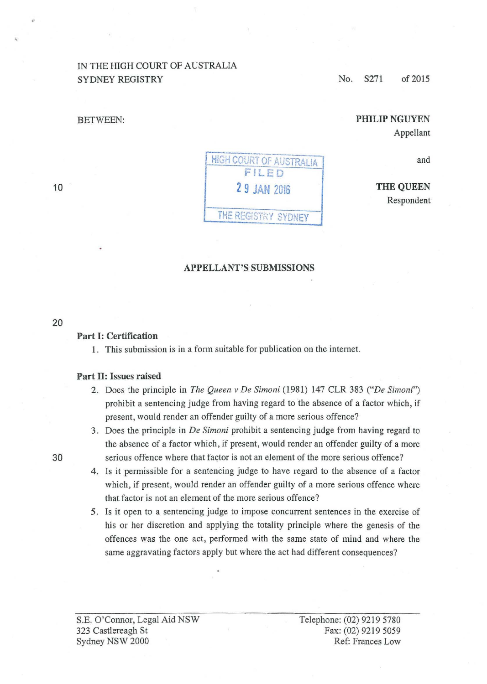## IN THE HIGH COURT OF AUSTRALIA SYDNEY REGISTRY

BETWEEN:

No. S271 of 2015

# PHILIP NGUYEN Appellant

and

THE QUEEN Respondent

#### APPELLANT'S SUBMISSIONS

20

10

## Part 1: Certification

1. This submission is in a form suitable for publication on the internet.

#### Part II: Issues raised

- 2. Does the principle in *The Queen v De Simoni* (1981) 147 CLR 383 *("De Simoni")*  prohibit a sentencing judge from having regard to the absence of a factor which, if present, would render an offender guilty of a more serious offence?
- 3. Does the principle in *De Simoni* prohibit a sentencing judge from having regard to the absence of a factor which, if present, would render an offender guilty of a more 30 serious offence where that factor is not an element of the more serious offence?
	- 4 . Is it permissible for a sentencing judge to have regard to the absence of a factor which, if present, would render an offender guilty of a more serious offence where that factor is not an element of the more serious offence?
	- 5. Is it open to a sentencing judge to impose concurrent sentences in the exercise of his or her discretion and applying the totality principle where the genesis of the offences was the one act, performed with the same state of mind and where the same aggravating factors apply but where the act had different consequences?

S.E. O'Connor, Legal Aid NSW 323 Castlereagh St Sydney NSW 2000

Telephone: (02) 9219 5780 Fax: (02) 9219 5059 Ref: Prances Low

HIGH COURT OF AUSTRALIA FILED 2 9 JAN <sup>2016</sup> THE REGISTRY SYDNEY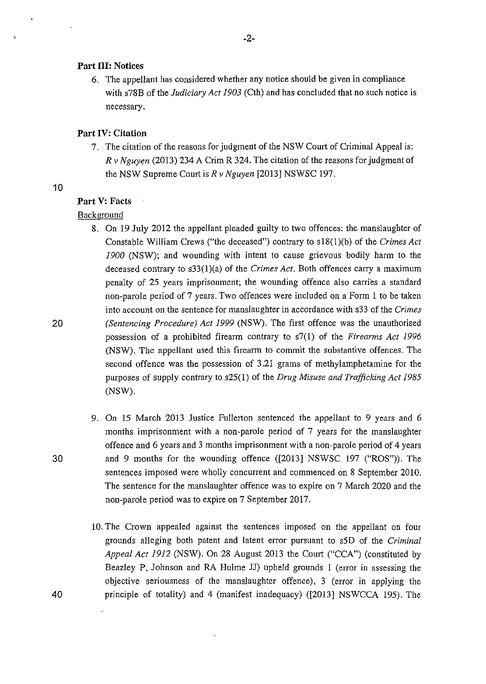#### **Part Ill: Notices**

6. The appellant has considered whether any notice should be given in compliance with s78B of the *Judiciary Act 1903* (Cth) and has concluded that no such notice is necessary.

## **Part IV: Citation**

7. The citation of the reasons for judgment of the NSW Court of Criminal Appeal is: *R v Nguwn* (2013) 234 A Crim R 324. The citation of the reasons for judgment of the NSW Supreme Court is *R v Nguyen* [2013] NSWSC 197.

### 10

#### **Part V: Facts**

### Background

- 8. On 19 July 2012 the appellant pleaded guilty to two offences: the manslaughter of Constable William Crews ("the deceased") contrary to s 18(1 )(b) of the *Crimes Act 1900* (NSW); and wounding with intent to cause grievous bodily harm to the deceased contrary to s33(l)(a) of the *Crimes Act.* Both offences carry a maximum penalty of 25 years imprisonment; the wounding offence also carries a standard non-parole period of 7 years. Two offences were included on a Form **1** to be taken into account on the sentence for manslaughter in accordance with s33 of the *Crimes (Sentencing Procedure) Act 1999* (NSW). The first offence was the unauthorised possession of a prohibited firearm contrary to s7(1) of the *Firearms Act 1996*  (NSW). The appellant used this firearm to commit the substantive offences. The second offence was the possession of 3.21 grams of methylamphetamine for the purposes of supply contrary to s25(1) of the *Drug Misuse and Trafficking Act 1985*  (NSW).
- 9. On 15 March 2013 Justice Fullerton sentenced the appellant to 9 years and 6 months imprisonment with a non-parole period of 7 years for the manslaughter offence and 6 years and 3 months imprisonment with a non-parole period of 4 years and 9 months for the wounding offence ([2013] NSWSC 197 ("ROS")). The sentences imposed were wholly concurrent and commenced on 8 September 2010. The sentence for the manslaughter offence was to expire on 7 March 2020 and the non-parole period was to expire on 7 September 2017.
- 10. The Crown appealed against the sentences imposed on the appellant on four grounds alleging both patent and latent error pursuant to s5D of the *Criminal Appeal Act 1912* (NSW). On 28 August 2013 the Court ("CCA") (constituted by Beazley P, Johnson and RA Hulme JJ) upheld grounds 1 (error in assessing the objective seriousness of the manslaughter offence), 3 (error in applying the principle of totality) and 4 (manifest inadequacy) ([2013] NSWCCA 195). The

30

20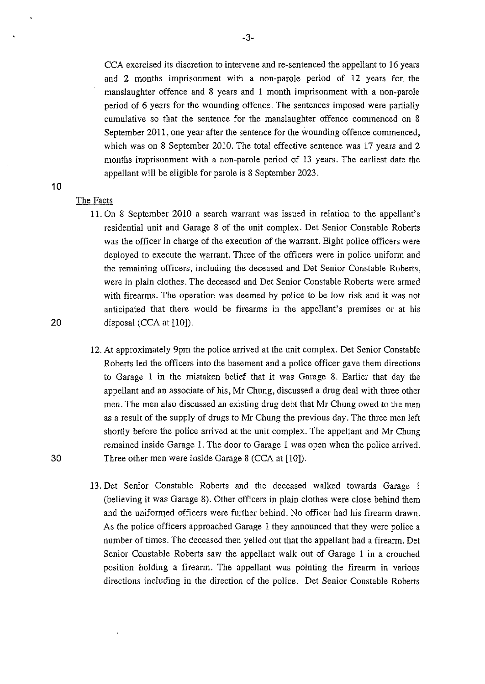CCA exercised its discretion to intervene and re-sentenced the appellant to 16 years and 2 months imprisonment with a non-parole period of 12 years for. the manslaughter offence and 8 years and 1 month imprisonment with a non-parole period of 6 years for the wounding offence. The sentences imposed were partially cumulative so that the sentence for the manslaughter offence commenced on 8 September 2011, one year after the sentence for the wounding offence commenced, which was on 8 September 2010. The total effective sentence was 17 years and 2 months imprisonment with a non-parole period of 13 years. The earliest date the appellant will be eligible for parole is 8 September 2023.

#### The Facts

10

- 11. On 8 September 2010 a search warrant was issued in relation to the appellant's residential unit and Garage 8 of the unit complex. Det Senior Constable Roberts was the officer in charge of the execution of the warrant. Eight police officers were deployed to execute the warrant. Three of the officers were in police uniform and the remaining officers, including the deceased and Det Senior Constable Roberts, were in plain clothes. The deceased and Det Senior Constable Roberts were armed with firearms. The operation was deemed by police to be low risk and it was not anticipated that there would be firearms in the appellant's premises or at his disposal (CCA at [10]).
- 12. At approximately 9pm the police arrived at the unit complex. Det Senior Constable Roberts led the officers into the basement and a police officer gave them directions to Garage 1 in the mistaken belief that it was Garage 8. Earlier that day the appellant and an associate of his, Mr Chung, discussed a drug deal with three other men. The men also discussed an existing drug debt that Mr Chung owed to the men as a result of the supply of drugs to Mr Chung the previous day. The three men left shortly before the police arrived at the unit complex. The appellant and Mr Chung remained inside Garage 1. The door to Garage I was open when the police arrived. Three other men were inside Garage 8 (CCA at [10]).
- 13. Det Senior Constable Roberts and the deceased walked towards Garage 1 (believing it was Garage 8). Other officers in plain clothes were close behind them and the uniformed officers were further behind. No officer had his firearm drawn. As the police officers approached Garage I they announced that they were police a number of times. The deceased then yelled out that the appellant had a firearm. Det Senior Constable Roberts saw the appellant walk out of Garage I in a crouched position holding a firearm. The appellant was pointing the firearm in various directions including in the direction of the police. Det Senior Constable Roberts

20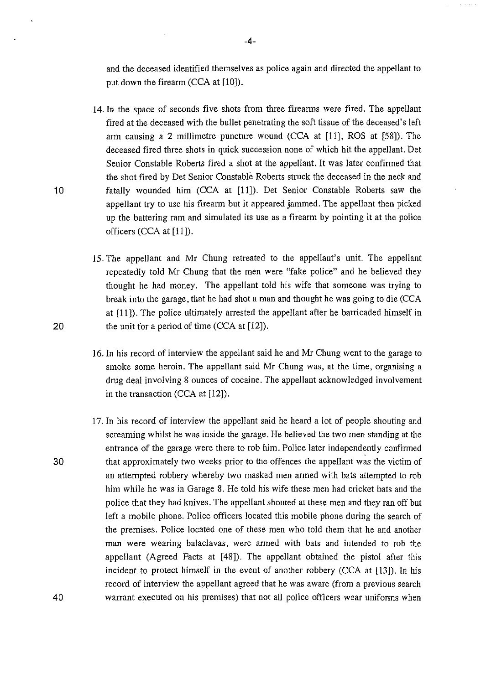and the deceased identified themselves as police again and directed the appellant to put down the firearm (CCA at [10]).

- 14. In the space of seconds five shots from three firearms were fired. The appellant fired at the deceased with the bullet penetrating the soft tissue of the deceased's left arm causing a 2 millimetre puncture wound  $(CCA \t{at} [11], ROS at [58]).$  The deceased fired three shots in quick succession none of which hit the appellant. Det Senior Constable Roberts fired a shot at the appellant. It was later confirmed that the shot fired by Det Senior Constable Roberts struck the deceased in the neck and fatally wounded him (CCA at [11]). Det Senior Constable Roberts saw the appellant try to use his firearm but it appeared jammed. The appellant then picked up the battering ram and simulated its use as a firearm by pointing it at the police officers (CCA at [11]).
- 15. The appellant and Mr Chung retreated to the appellant's unit. The appellant repeatedly told Mr Chung that the men were "fake police" and he believed they thought he had money. The appellant told his wife that someone was trying to break into the garage, that he had shot a man and thought he was going to die (CCA at [11]). The police ultimately arrested the appellant after he barricaded himself in the unit for a period of time (CCA at [12]).
- 16. In his record of interview the appellant said he and Mr Chung went to the garage to smoke some heroin. The appellant said Mr Chung was, at the time, organising a drug deal involving 8 ounces of cocaine. The appellant acknowledged involvement in the transaction (CCA at [12]).
- 17. In his record of interview the appellant said he heard a lot of people shouting and screaming whilst he was inside the garage. He believed the two men standing at the entrance of the garage were there to rob him. Police later independently confirmed that approximately two weeks prior to the offences the appellant was the victim of an attempted robbery whereby two masked men armed with bats attempted to rob him while he was in Garage 8. He told his wife these men had cricket bats and the police that they had knives. The appellant shouted at these men and they ran off but left a mobile phone. Police officers located this mobile phone during the search of the premises. Police located one of these men who told them that he and another man were wearing balaclavas, were armed with bats and intended to rob the appellant (Agreed Facts at [48]). The appellant obtained the pistol after this incident to protect himself in the event of another robbery (CCA at [13]). In his record of interview the appellant agreed that he was aware (from a previous search warrant executed on his premises) that not all police officers wear uniforms when

20

30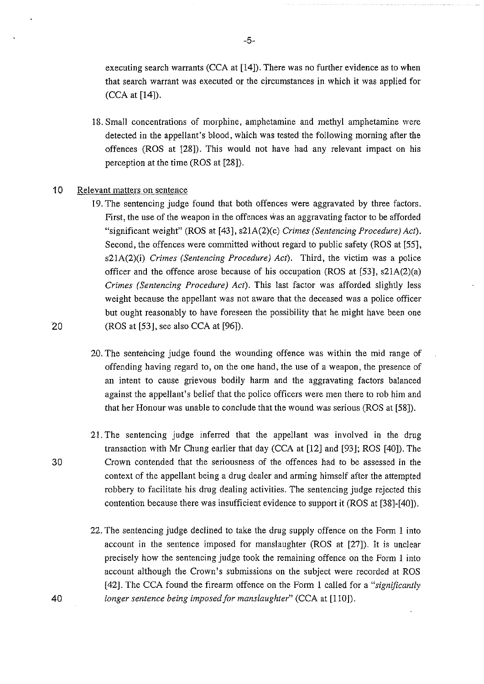executing search warrants (CCA at [14]). There was no further evidence as to when that search warrant was executed or the circumstances in which it was applied for (CCA at [14]).

18. Small concentrations of morphine, amphetamine and methyl amphetamine were detected in the appellant's blood, which was tested the following morning after the offences (ROS at [28]). This would not have had any relevant impact on his perception at the time (ROS at [28]).

#### 10 Relevant matters on sentence

- 19. The sentencing judge found that both offences were aggravated by three factors. First, the use of the weapon in the offences was an aggravating factor to be afforded "significant weight" (ROS at [43], s21A(2)(c) *Crimes (Sentencing Procedure) Act).*  Second, the offences were committed without regard to public safety (ROS at [55], s21A(2)(i) *Crimes (Sentencing Procedure) Act).* Third, the victim was a police officer and the offence arose because of his occupation (ROS at  $[53]$ ,  $\frac{\text{ }s21\text{A}(2)(a)}{a}$ ) *Crimes (Sentencing Procedure) Act).* This last factor was afforded slightly less weight because the appellant was not aware that the deceased was a police officer but ought reasonably to have foreseen the possibility that he might have been one  $(ROS at [53], see also CCA at [96]).$
- 20. The sentencing judge found the wounding offence was within the mid range of offending having regard to, on the one hand, the use of a weapon, the presence of an intent to cause grievous bodily harm and the aggravating factors balanced against the appellant's belief that the police officers were men there to rob him and that her Honour was unable to conclude that the wound was serious (ROS at [58]).
- 21. The sentencing judge inferred that the appellant was involved in the drug transaction with Mr Chung earlier that day (CCA at [12] and [93J; ROS [40]). The Crown contended that the seriousness of the offences had to be assessed in the context of the appellant being a drug dealer and arming himself after the attempted robbery to facilitate his drug dealing activities. The sentencing judge rejected this contention because there was insufficient evidence to support it (ROS at [38]-[40]).
- 22. The sentencing judge declined to take the drug supply offence on the Form 1 into account in the sentence imposed for manslaughter (ROS at [27]). It is unclear precisely how the sentencing judge took the remaining offence on the Form 1 into account although the Crown's submissions on the subject were recorded at ROS [42]. The CCA found the firearm offence on the Form 1 called for a *"significantly longer sentence being imposed for manslaughter"* (CCA at [110]).

30

40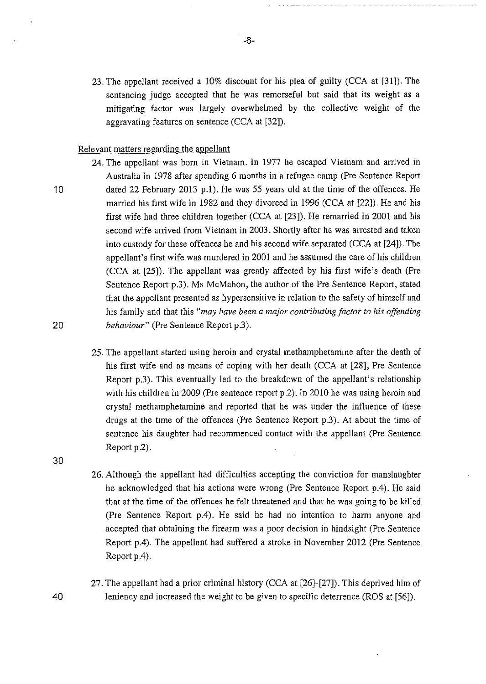23. The appellant received a 10% discount for his plea of guilty (CCA at [31]). The sentencing judge accepted that he was remorseful but said that its weight as a mitigating factor was largely overwhelmed by the collective weight of the aggravating features on sentence (CCA at [32]).

### Relevant matters regarding the appellant

10

20

24. The appellant was born in Vietnam. In 1977 he escaped Vietnam and arrived in Australia in 1978 after spending 6 months in a refugee camp (Pre Sentence Report dated 22 February 2013 p.l). He was 55 years old at the time of the offences. He married his flrst wife in 1982 and they divorced in 1996 (CCA at [22]). He and his first wife had three children together (CCA at [23]). He remarried in 2001 and his second wife arrived from Vietnam in 2003. Shortly after he was arrested and taken into custody for these offences he and his second wife separated (CCA at [24]). The appellant's first wife was murdered in 2001 and he assumed the care of his children (CCA at [25]). The appellant was greatly affected by his first wife's death (Pre Sentence Report p.3). Ms McMahon, the author of the Pre Sentence Report, stated that the appellant presented as hypersensitive in relation to the safety of himself and his family and that this *"may have been a major contributing factor to his offending behaviour"* (Pre Sentence Report p.3).

- 25. The appellant started using heroin and crystal methamphetamine after the death of his first wife and as means of coping with her death (CCA at [28], Pre Sentence Report p.3). This eventually led to the breakdown of the appellant's relationship with his children in 2009 (Pre sentence report p.2). In 2010 he was using heroin and crystal methamphetamine and reported that he was under the influence of these drugs at the time of the offences (Pre Sentence Report p.3). At about the time of sentence his daughter had recommenced contact with the appellant (Pre Sentence Report p.2).
- 30
- 26. Although the appellant had difficulties accepting the conviction for manslaughter he acknowledged that his actions were wrong (Pre Sentence Report p.4). He said that at the time of the offences he felt threatened and that he was going to be killed (Pre Sentence Report p.4). He said he had no intention to harm anyone and accepted that obtaining the firearm was a poor decision in hindsight (Pre Sentence Report p.4). The appellant had suffered a stroke in November 2012 (Pre Sentence Report p.4).
- 27. The appellant had a prior criminal history (CCA at [26]-[27]). This deprived him of leniency and increased the weight to be given to specific deterrence (ROS at [56]).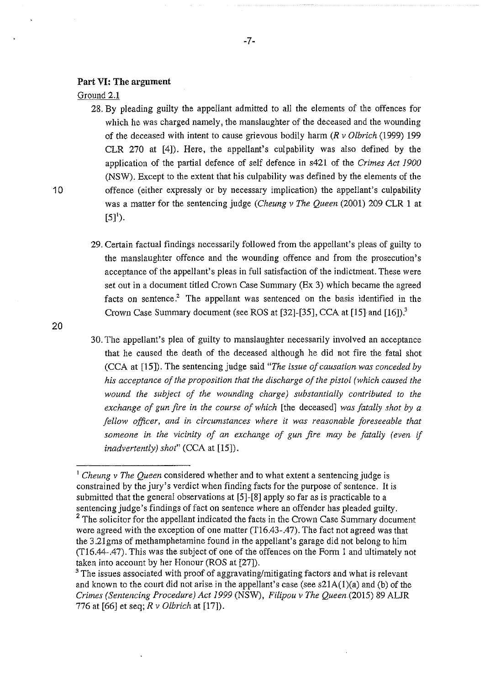#### **Part VI: The argument**

Ground 2.1

28. By pleading guilty the appellant admitted to all the elements of the offences for which he was charged namely, the manslaughter of the deceased and the wounding of the deceased with intent to cause grievous bodily harm *(R v Olbrich* (1999) 199 CLR 270 at [4]). Here, the appellant's culpability was also defined by the application of the partial defence of self defence in s421 of the *Crimes Act 1900*  (NSW). Except to the extent that his culpability was defined by the elements of the offence (either expressly or by necessary implication) the appellant's culpability was a matter for the sentencing judge *(Cheung v The Queen* (2001) 209 CLR 1 at  $[5]$ <sup>1</sup>).

29. Certain factual findings necessarily followed from the appellant's pleas of guilty to the manslaughter offence and the wounding offence and from the prosecution's acceptance of the appellant's pleas in full satisfaction of the indictment. These were set out in a document titled Crown Case Summary (Ex 3) which became the agreed facts on sentence.<sup>2</sup> The appellant was sentenced on the basis identified in the Crown Case Summary document (see ROS at [32]-[35], CCA at [15] and [16]).<sup>3</sup>

20

<sup>30.</sup> The appellant's plea of guilty to manslaughter necessarily involved an acceptance that he caused the death of the deceased although he did not fire the fatal shot (CCA at [15]). The sentencing judge said *"The issue of causation was conceded by his acceptance of the proposition that the discharge of the pistol (which caused the wound the subject of the wounding charge) substantially contributed to the exchange of gun fire in the course of which* [the deceased] *was fatally shot by a fellow officer, and in circumstances where it was reasonable foreseeable that*  someone in the vicinity of an exchange of gun fire may be fatally (even if *inadvertently) shot"* (CCA at [15]).

<sup>&</sup>lt;sup>1</sup> Cheung v The Queen considered whether and to what extent a sentencing judge is constrained by the jury's verdict when finding facts for the purpose of sentence. It is submitted that the general observations at [5]-[8] apply so far as is practicable to a sentencing judge's findings of fact on sentence where an offender has pleaded guilty.

<sup>&</sup>lt;sup>2</sup> The solicitor for the appellant indicated the facts in the Crown Case Summary document were agreed with the exception of one matter (T16.43-.47). The fact not agreed was that the 3.2lgms of methamphetamine found in the appellant's garage did not belong to him (T16.44-.47). This was the subject of one of the offences on the Form I and ultimately not taken into account by her Honour (ROS at [27]).

<sup>&</sup>lt;sup>3</sup> The issues associated with proof of aggravating/mitigating factors and what is relevant and known to the court did not arise in the appellant's case (see  $s21A(1)(a)$ ) and (b) of the *Crimes (Sentencing Procedure) Act 1999* (NSW), *Filipou v The Queen* (2015) 89 ALJR 776 at [66] et seq; *R v Olbrich* at [17]).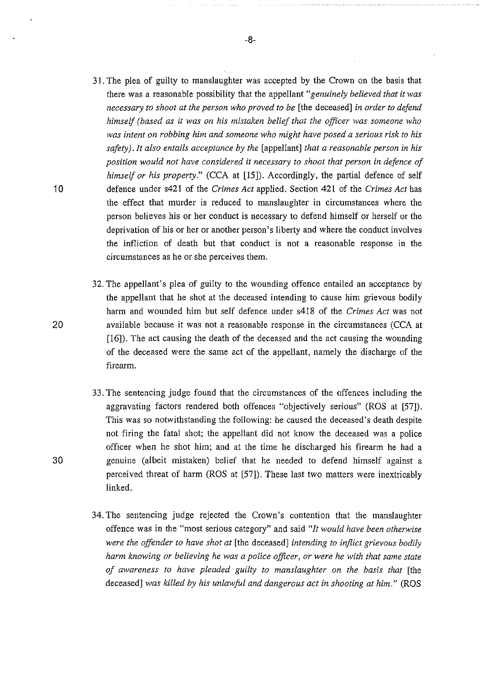- 31. The plea of guilty to manslaughter was accepted by the Crown on the basis that there was a reasonable possibility that the appellant *"genuinely believed that it was necessary to shoot at the person who proved to be* [the deceased] *in order to defend himself (based as it was on his mistaken belief that the officer was someone who was intent on robbing him and someone who might have posed a serious risk to his safety) .It also entails acceptance by the* [appellant] *that a reasonable person in his position would not have considered it necessary to shoot that person in defence of himself or his property."* (CCA at [15]). Accordingly, the partial defence of self defence under s421 of the *Crimes Act* applied. Section 421 of the *Crimes Act* has the effect that murder is reduced to manslaughter in circumstances where the person believes his or her conduct is necessary to defend himself or herself or the deprivation of his or her or another person's liberty and where the conduct involves the infliction of death but that conduct is not a reasonable response in the circumstances as he or she perceives them.
- 32. The appellant's plea of guilty to the wounding offence entailed an acceptance by the appellant that he shot at the deceased intending to cause him grievous bodily harm and wounded him but self defence under s418 of the *Crimes Act* was not available because it was not a reasonable response in the circumstances (CCA at [16]). The act causing the death of the deceased and the act causing the wounding of the deceased were the same act of the appellant, namely the discharge of the firearm.
- 33. The sentencing judge found that the circumstances of the offences including the aggravating factors rendered both offences "objectively serious" (ROS at [57]). This was so notwithstanding the following: he caused the deceased's death despite not firing the fatal shot; the appellant did not know the deceased was a police officer when he shot him; and at the time he discharged his firearm he had a genuine (albeit mistaken) belief that he needed to defend himself against a perceived threat of harm (ROS at [57]). These last two matters were inextricably linked.
- 34. The sentencing judge rejected the Crown's contention that the manslaughter offence was in the "most serious category" and said *"It would have been otherwise were the (Jffender to have shot at* [the deceased] *intending to inflict grievous bodily harm knowing or believing he was a police officer, or were he with that same state of awareness to have pleaded guilty to manslaughter on the basis that* [the deceased] *was killed by his unlawful and dangerous act in shooting at him."* (ROS

20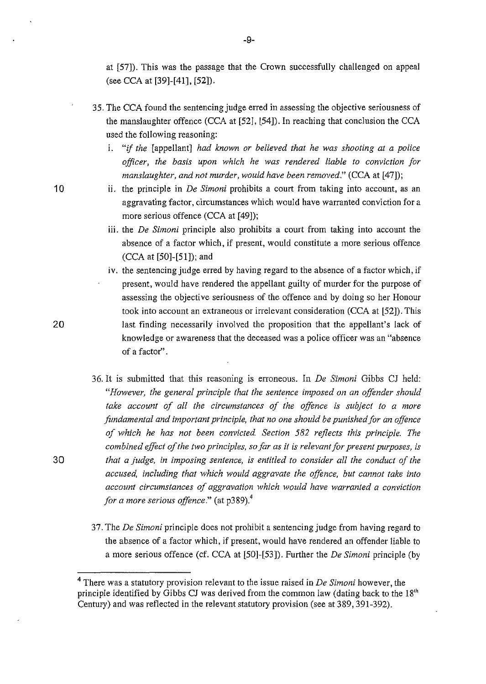at [57]). This was the passage that the Crown successfully challenged on appeal (see CCA at [39]-[41], [52]).

- 35. The CCA found the sentencing judge erred in assessing the objective seriousness of the manslaughter offence (CCA at [52], [54]). In reaching that conclusion the CCA used the following reasoning:
	- r. "if *the* [appellant] *had known or believed that he was shooting at a police officer, the basis upon which he was rendered liable to conviction for manslaughter, and not murder, would have been removed."* (CCA at [47]);
	- ii. the principle in *De Simoni* prohibits a court from taking into account, as an aggravating factor, circumstances which would have warranted conviction for a more serious offence (CCA at [49]);
	- iii. the *De Simoni* principle also prohibits a court from taking into account the absence of a factor which, if present, would constitute a more serious offence (CCA at [50]-[51]); and
	- iv. the sentencing judge erred by having regard to the absence of a factor which, if present, would have rendered the appellant guilty of murder for the purpose of assessing the objective seriousness of the offence and by doing so her Honour took into account an extraneous or irrelevant consideration (CCA at [52]). This last finding necessarily involved the proposition that the appellant's lack of knowledge or awareness that the deceased was a police officer was an "absence of a factor''.
- 36. It is submitted that this reasoning is erroneous. In *De Simoni* Gibbs CJ held: *"However, the general principle that the senterzce imposed on an offender should take account of all the circumstances of the offence is subject to a more fundamental and important principle, that no one should be punished for an offence of which he has not been convicted Section 582 reflects this principle. The combined effect of the two principles, so far as it is relevant for present purposes, is*  30 *that a judge, in imposing sentence, is entitled to consider all the conduct of the accused, including that which would aggravate the offence, but cannot take into account circumstances of aggravation which would have warranted a conviction for a more serious offence."* (at p389).<sup>4</sup>
	- 37. The *De Simoni* principle does not prohibit a sentencing judge from having regard to the absence of a factor which, if present, would have rendered an offender liable to a more serious offence (cf. CCA at [50]-[53]). Further the *De Simoni* principle (by

10

<sup>4</sup> There was a statutory provision relevant to the issue raised in *De Simoni* however, the principle identified by Gibbs CJ was derived from the common law (dating back to the 18<sup>th</sup> Century) and was reflected in the relevant statutory provision (see at 389, 391-392).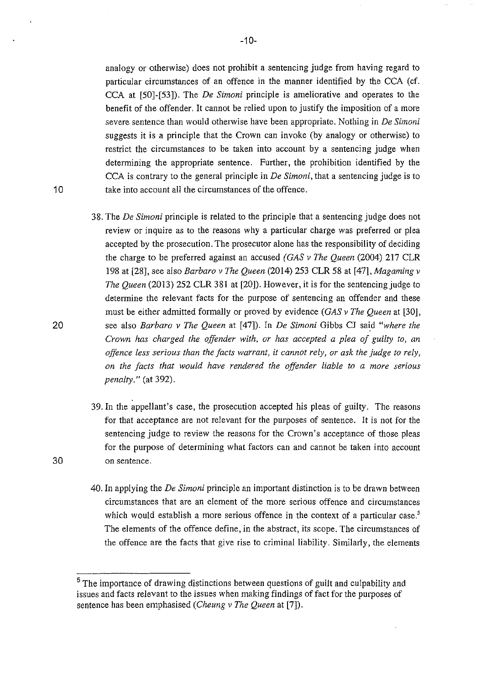analogy or otherwise) does not prohibit a sentencing judge from having regard to particular circumstances of an offence in the manner identified by the CCA (cf. CCA at [50]-[53]). The *De Simoni* principle is ameliorative and operates to the benefit of the offender. It cannot be relied upon to justify the imposition of a more severe sentence than would otherwise have been appropriate. Nothing in *De Simoni*  suggests it is a principle that the Crown can invoke (by analogy or otherwise) to restrict the circumstances to be taken into account by a sentencing judge when determining the appropriate sentence. Further, the prohibition identified by the CCA is contrary to the general principle in *De Simoni,* that a sentencing judge is to take into account all the circumstances of the offence.

- 38. The *De Simoni* principle is related to the principle that a sentencing judge does not review or inquire as to the reasons why a particular charge was preferred or plea accepted by the prosecution. The prosecutor alone has the responsibility of deciding the charge to be preferred against an accused *(GAS v The Queen* (2004) 217 CLR 198 at [28], see also *Barbaro v The Queen* (2014) 253 CLR 58 at [47], *Magaming v The Queen* (2013) 252 CLR 381 at [20]). However, it is for the sentencing judge to determine the relevant facts for the purpose of sentencing an offender and these must be either admitted formally or proved by evidence *(GAS v The Queen* at [30], see also *Barbaro v The Queen* at [47]). In *De Simoni* Gibbs CJ said *"where the Crown has charged the offender with, or has accepted a plea of guilty to, an offence less serious than the facts warrant, it cannot rely, or ask the judge to rely, on the facts that would have rendered the offender liable to a more serious penalty."* (at 392).
- 39. In the appellant's case, the prosecution accepted his pleas of guilty. The reasons for that acceptance are not relevant for the purposes of sentence. It is not for the sentencing judge to review the reasons for the Crown's acceptance of those pleas for the purpose of determining what factors can and cannot be taken into account on sentence.
- 40. In applying the *De Simoni* principle an important distinction is to be drawn between circumstances that are an element of the more serious offence and circumstances which would establish a more serious offence in the context of a particular case.<sup>5</sup> The elements of the offence define, in the abstract, its scope. The circumstances of the offence are the facts that give rise to criminal liability. Similarly, the elements

20

30

<sup>&</sup>lt;sup>5</sup> The importance of drawing distinctions between questions of guilt and culpability and issues and facts relevant to the issues when making findings of fact for the purposes of sentence has been emphasised *(Cheung v The Queen* at [7]).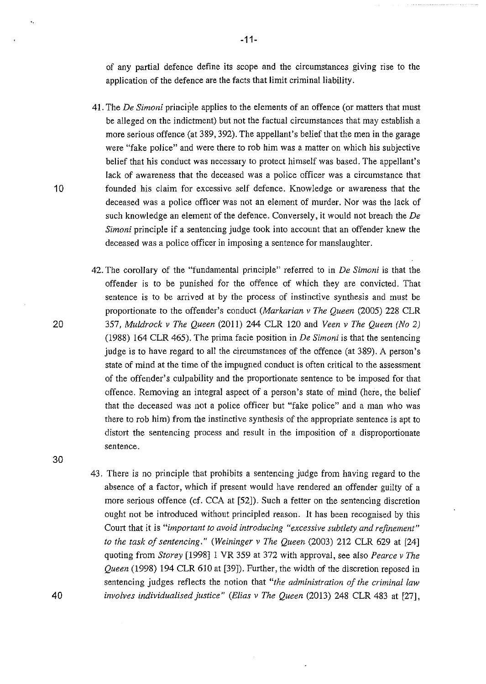of any partial defence define its scope and the circumstances giving rise to the application of the defence are the facts that limit criminal liability.

- 41. The *De Simoni* principle applies to the elements of an offence (or matters that must be alleged on the indictment) but not the factual circumstances that may establish a more serious offence (at 389, 392). The appellant's belief that the men in the garage were "fake police" and were there to rob him was a matter on which his subjective belief that his conduct was necessary to protect himself was based. The appellant's lack of awareness that the deceased was a police officer was a circumstance that founded his claim for excessive self defence. Knowledge or awareness that the deceased was a police officer was not an element of murder. Nor was the Jack of such knowledge an element of the defence. Conversely, it would not breach the *De Simoni* principle if a sentencing judge took into account that an offender knew the deceased was a police officer in imposing a sentence for manslaughter.
- 42. The corollary of the "fundamental principle" referred to in *De Simoni* is that the offender is to be punished for the offence of which they are convicted. That sentence is to be arrived at by the process of instinctive synthesis and must be proportionate to the offender's conduct *(Markarian v The Queen* (2005) 228 CLR 357, *Muldrock v The Queen* (2011) 244 CLR 120 and *Veen v The Queen (No 2)*  (1988) 164 CLR 465). The prima facie position in *De Simoni* is that the sentencing judge is to have regard to all the circumstances of the offence (at 389). A person's state of mind at the time of the impugned conduct is often critical to the assessment of the offender's culpability and the proportionate sentence to be imposed for that offence. Removing an integral aspect of a person's state of mind (here, the belief that the deceased was not a police officer but "fake police" and a man who was there to rob him) from the instinctive synthesis of the appropriate sentence is apt to distort the sentencing process and result in the imposition of a disproportionate sentence.
- 43. There is no principle that prohibits a sentencing judge from having regard to the absence of a factor, which if present would have rendered an offender guilty of a more serious offence (cf. CCA at [52]). Such a fetter on the sentencing discretion ought not be introduced without principled reason. It has been recognised by this Court that it is *"important to avoid introducing "excessive subtlety and refinement" to the task of sentencing." (Weininger v The Queen* (2003) 212 CLR 629 at [24] quoting from *Storey* [1998] I VR 359 at 372 with approval, see also *Pearce v The Queen* (1998) 194 CLR 610 at [39]). Further, the width of the discretion reposed in sentencing judges reflects the notion that *"the administration of the criminal law involves individualised justice" (Elias v The Queen* (2013) 248 CLR 483 at [27],

10

20

30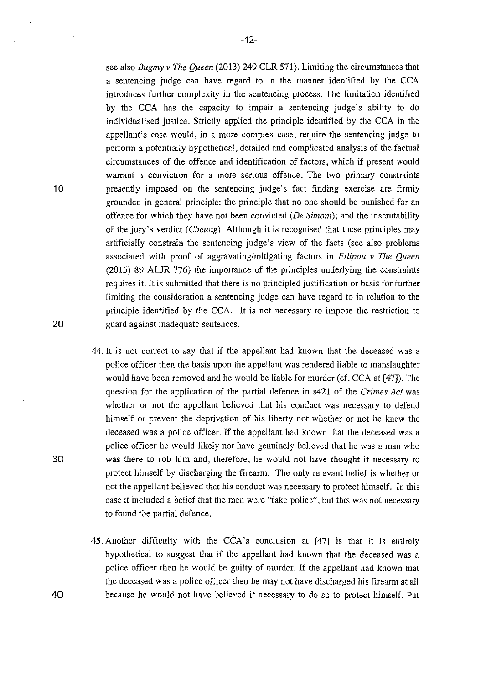see also *Bugmy v The Queen* (2013) 249 CLR 571). Limiting the circumstances that a sentencing judge can have regard to in the manner identified by the CCA introduces further complexity in the sentencing process. The limitation identified by the CCA has the capacity to impair a sentencing judge's ability to do individualised justice. Strictly applied the principle identified by the CCA in the appellant's case would, in a more complex case, require the sentencing judge to perform a potentially hypothetical, detailed and complicated analysis of the factual circumstances of the offence and identification of factors, which if present would warrant a conviction for a more serious offence. The two primary constraints presently imposed on the sentencing judge's fact finding exercise are firmly grounded in general principle: the principle that no one should be punished for an offence for which they have not been convicted *(De Simoni);* and the inscrutability of the jury's verdict *(Cheung).* Although it is recognised that these principles may artificially constrain the sentencing judge's view of the facts (see also problems associated with proof of aggravating/mitigating factors in *Filipou v The Queen*  (2015) 89 ALJR 776) the importance of the principles underlying the constraints requires it. It is submitted that there is no principled justification or basis for further limiting the consideration a sentencing judge can have regard to in relation to the principle identified by the CCA. It is not necessary to impose the restriction to guard against inadequate sentences.

- 44. It is not correct to say that if the appellant had known that the deceased was a police officer then the basis upon the appellant was rendered liable to manslaughter would have been removed and he would be liable for murder (cf. CCA at [47]). The question for the application of the partial defence in s421 of the *Crimes Act* was whether or not the appellant believed that his conduct was necessary to defend himself or prevent the deprivation of his liberty not whether or not he knew the deceased was a police officer. If the appellant had known that the deceased was a police officer he would likely not have genuinely believed that he was a man who was there to rob him and, therefore, he would not have thought it necessary to protect himself by discharging the firearm. The only relevant belief is whether or not the appellant believed that his conduct was necessary to protect himself. In this case it included a belief that the men were "fake police", but this was not necessary to found the partial defence.
- 45. Another difficulty with the CCA's conclusion at [47] is that it is entirely hypothetical to suggest that if the appellant had known that the deceased was a police officer then he would be guilty of murder. If the appellant had known that the deceased was a police officer then he may not have discharged his firearm at all because he would not have believed it necessary to do so to protect himself. Put

10

20

30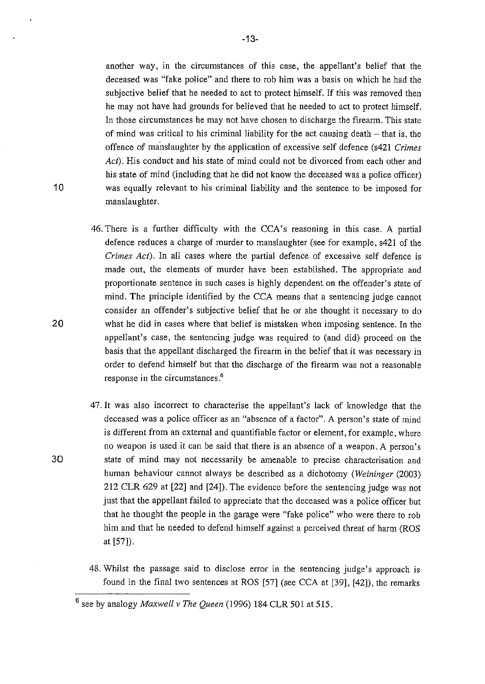another way, in the circumstances of this case, the appellant's belief that the deceased was "fake police" and there to rob him was a basis on which he had the subjective belief that he needed to act to protect himself. If this was removed then he may not have had grounds for believed that he needed to act to protect himself. In those circumstances he may not have chosen to discharge the firearm. This state of mind was critical to his criminal liability for the act causing death  $-$  that is, the offence of ma'nslaughter by the application of excessive self defence (s421 *Crimes Act).* His conduct and his state of mind could not be divorced from each other and his state of mind (including that he did not know the deceased was a police officer) was equally relevant to his criminal liability and the sentence to be imposed for manslaughter.

- 46. There is a further difficulty with the CCA's reasoning in this case. A partial defence reduces a charge of murder to manslaughter (see for example, s421 of the *Crimes Act).* In all cases where the partial defence of excessive self defence is made out, the elements of murder have been established. The appropriate and proportionate sentence in such cases is highly dependent on the offender's state of mind. The principle identified by the CCA means that a sentencing judge cannot consider an offender's subjective belief that he or she thought it necessary to do what he did in cases where that belief is mistaken when imposing sentence. In the appellant's case, the sentencing judge was required to (and did) proceed on the basis that the appellant discharged the firearm in the belief that it was necessary in order to defend himself but that the discharge of the firearm was not a reasonable response in the circumstances.<sup>6</sup>
- 47. It was also incorrect to characterise the appellant's lack of knowledge that the deceased was a police officer as an "absence of a factor". A person's state of mind is different from an external and quantifiable factor or element, for example, where no weapon is used it can be said that there is an absence of a weapon. A person's 30 state of mind may not necessarily be amenable to precise characterisation and human behaviour cannot always be described as a dichotomy *(Weininger* (2003) 212 CLR 629 at [22] and [24]). The evidence before the sentencing judge was not just that the appellant failed to appreciate that the deceased was a police officer but that he thought the people in the garage were "fake police" who were there to rob him and that he needed to defend himself against a perceived threat of harm (ROS at [57]).
	- 48. Whilst the passage said to disclose error in the sentencing judge's approach is found in the final two sentences at ROS [57] (see CCA at [39], [42]), the remarks

-13-

<sup>6</sup>  see by analogy *Maxwe/l v The Queen* (1996) 184 CLR 501 at 515.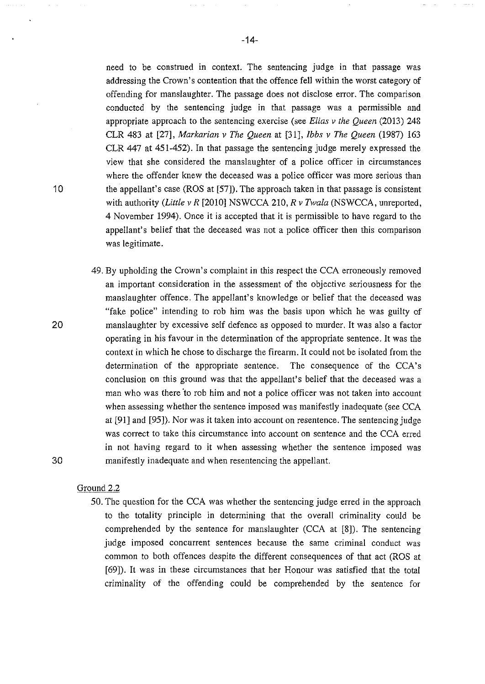need to be construed in context. The sentencing judge in that passage was addressing the Crown's contention that the offence fell within the worst category of offending for manslaughter. The passage does not disclose error. The comparison conducted by the sentencing judge in that passage was a permissible and appropriate approach to the sentencing exercise (see *Elias v the Queen* (2013) 248 CLR 483 at [27], *Markarian v The Queen* at [31], *Ibbs v The Queen* (1987) 163 CLR 447 at 451-452). In that passage the sentencing judge merely expressed the view that she considered the manslaughter of a police officer in circumstances where the offender knew the deceased was a police officer was more serious than the appellant's case (ROS at [57]). The approach taken in that passage is consistent with authority *(Little v R* [2010] NSWCCA 210, *R v Twala* (NSWCCA, unreported, 4 November 1994). Once it is accepted that it is permissible to have regard to the appellant's belief that the deceased was not a police officer then this comparison was legitimate.

49. By upholding the Crown's complaint in this respect the CCA erroneously removed an important consideration in the assessment of the objective seriousness for the manslaughter offence. The appellant's knowledge or belief that the deceased was "fake police" intending to rob him was the basis upon which he was guilty of manslaughter by excessive self defence as opposed to murder. It was also a factor operating in his favour in the determination of the appropriate sentence. It was the context in which he chose to discharge the firearm. It could not be isolated from the determination of the appropriate sentence. The consequence of the CCA's conclusion on this ground was that the appellant's belief that the deceased was a man who was there "to rob him and not a police officer was not taken into account when assessing whether the sentence imposed was manifestly inadequate (see CCA at [91] and [95]). Nor was it taken into account on resentence. The sentencing judge was correct to take this circumstance into account on sentence and the CCA erred in not having regard to it when assessing whether the sentence imposed was manifestly inadequate and when resentencing the appellant.

#### Ground 2.2

50. The question for the CCA was whether the sentencing judge erred in the approach to the totality principle in determining that the overall criminality could be comprehended by the sentence for manslaughter (CCA at [8]). The sentencing judge imposed concurrent sentences because the same criminal conduct was common to both offences despite the different consequences of that act (ROS at [69]). It was in these circumstances that her Honour was satisfied that the total criminality of the offending could be comprehended by the sentence for

10

20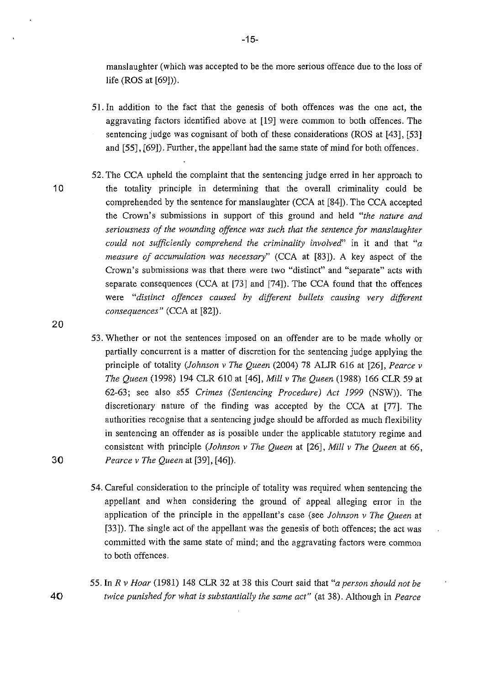manslaughter (which was accepted to be the more serious offence due to the loss of life (ROS at [69])).

- 51. In addition to the fact that the genesis of both offences was the one act, the aggravating factors identified above at [19] were common to both offences. The sentencing judge was cognisant of both of these considerations (ROS at [43], [53] and [55], [69]). Further, the appellant had the same state of mind for both offences.
- 10
- 52. The CCA upheld the complaint that the sentencing judge erred in her approach to the totality principle in determining that the overall criminality could be comprehended by the sentence for manslaughter (CCA at [84]). The CCA accepted the Crown's submissions in support of this ground and held *"the nature and seriousness of the wounding offence was such that the sentence for manslaughter could not sufficiently comprehend the criminality involved"* in it and that *"a measure of accumulation was necessary"* (CCA at [83]). A key aspect of the Crown's submissions was that there were two "distinct" and "separate" acts with separate consequences (CCA at [73] and [74]). The CCA found that the offences were *"distinct offences caused by different bullets causing very different consequences"* (CCA at [82]).
- 53. Whether or not the sentences imposed on an offender are to be made wholly or partially concurrent is a matter of discretion for the sentencing judge applying the principle of totality *(Johnson v The Queen* (2004) 78 ALJR 616 at [26], *Pearce v The Queen* (1998) 194 CLR 610 at [ 46], *Mill v The Queen* (1988) 166 CLR 59 at 62-63; see also s55 *Crimes (Sentencing Procedure) Act 1999* (NSW)). The discretionary nature of the finding was accepted by the CCA at [77]. The authorities recognise that a sentencing judge should be afforded as much flexibility in sentencing an offender as is possible under the applicable statutory regime and consistent with principle *(Johnson v The Queen* at [26], *Mill v The Queen* at 66, *Pearce v The Queen* at [39], [46]).
- 54. Careful consideration to the principle of totality was required when sentencing the appellant and when considering the ground of appeal alleging error in the application of the principle in the appellant's case (see *Johnson v The Queen* at [33]). The single act of the appellant was the genesis of both offences; the act was committed with the same state of mind; and the aggravating factors were common to both offences.
- 55. In *R v Hoar* (1981) 148 CLR 32 at 38 this Court said that *"a person should not be*  40 *twice punished for what is substantially the same act"* (at 38). Although in *Pearce*

-15-

20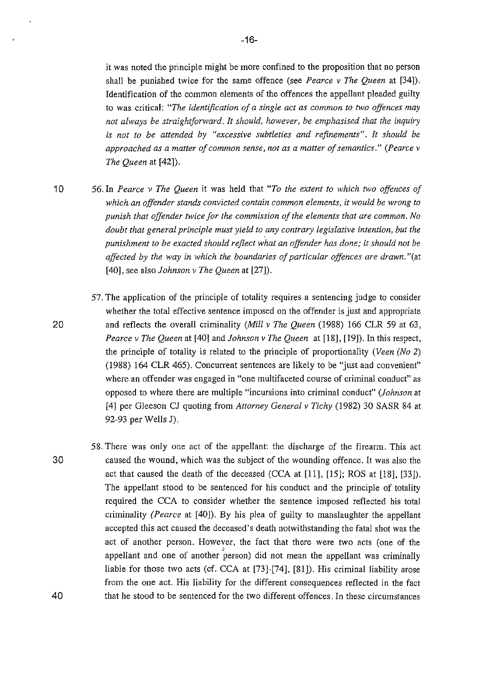it was noted the principle might be more confined to the proposition that no person shall be punished twice for the same offence (see *Pearce v The Queen* at [34]). Identification of the common elements of the offences the appellant pleaded guilty to was critical: *"The identification of a single act as common to two offences may not always be straightforward. It should, however, be emphasised that the inquiry is not to be attended by "excessive subtleties and refinements". It should be approached as a matter of common sense, not as a matter of semantics." (Pearce v The Queen* at [42]).

1 0 56. In *Pearce v The Queen* it was held that *"To the extent to which two offences of*  which an offender stands convicted contain common elements, it would be wrong to *punish that offender twice for the commission of the elements that are common. No doubt that general principle must yield to any contrary legislative intention, but the punishment to be exacted should reflect what an offender has done;* it *should not be affected by the way in which the boundaries of particular offences are drawn.* "(at [40], see also *Johnson v The Queen* at [27]).

- 57. The application of the principle of totality requires a sentencing judge to consider whether the total effective sentence imposed on the offender is just and appropriate and reflects the overall criminality *(Mill v The Queen* (1988) 166 CLR 59 at 63, *Pearce v The Queen* at [40] and *Johnson v The Queen* at [18], [19]). In this respect, the principle of totality is related to the principle of proportionality *(Veen (No* 2) (1988) 164 CLR 465). Concurrent sentences are likely to be "just and convenient" where an offender was engaged in "one multifaceted course of criminal conduct" as opposed to where there are multiple "incursions into criminal conduct" *(Johnson* at [4] per Gleeson CJ quoting from *Attorney General v Tichy* (1982) 30 SASR 84 at 92-93 per Wells J).
- 30 58. There was only one act of the appellant: the discharge of the firearm. This act caused the wound, which was the subject of the wounding offence. It was also the act that caused the death of the deceased (CCA at [11], [15]; ROS at [18], [33]). The appellant stood to be sentenced for his conduct and the principle of totality required the CCA to consider whether the sentence imposed reflected his total criminality *(Pearce* at [40]). By his plea of guilty to manslaughter the appellant accepted this act caused the deceased's death notwithstanding the fatal shot was the act of another person. However, the fact that there were two acts (one of the appellant and one of another person) did not mean the appellant was criminally liable for those two acts (cf. CCA at [73]-[74], [81]). His criminal liability arose from the one act. His liability for the different consequences reflected in the fact that he stood to be sentenced for the two different offences. In these circumstances

20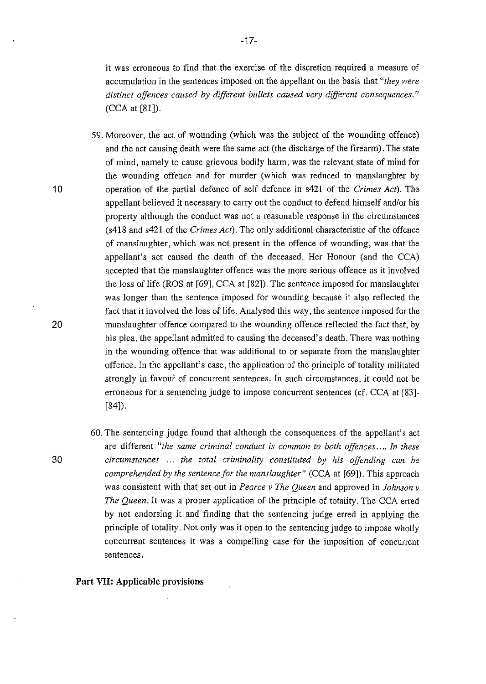it was erroneous to find that the exercise of the discretion required a measure of accumulation in the sentences imposed on the appellant on the basis that *"they were distinct offences caused by different bullets caused very different consequences."*  (CCA at [81]).

- 59. Moreover, the act of wounding (which was the subject of the wounding offence) and the act causing death were the same act (the discharge of the firearm). The state of mind, namely to cause grievous bodily harm, was the relevant state of mind for the wounding offence and for murder (which was reduced to manslaughter by operation of the partial defence of self defence in s421 of the *Crimes Act).* The appellant believed it necessary to carry out the conduct to defend himself and/or his property although the conduct was not a reasonable response in the circumstances (s418 and s421 of the *Crimes Act).* The only additional characteristic of the offence of manslaughter, which was not present in the offence of wounding, was that the appellant's act caused the death of the deceased. Her Honour (and the CCA) accepted that the manslaughter offence was the more serious offence as it involved the loss of life (ROS at [69], CCA at [82]). The sentence imposed for manslaughter was longer than the sentence imposed for wounding because it also reflected the fact that it involved the loss of life. Analysed this way, the sentence imposed for the manslaughter offence compared to the wounding offence reflected the fact that, by his plea, the appellant admitted to causing the deceased's death. There was nothing in the wounding offence that was additional to or separate from the manslaughter offence. In the appellant's case, the application of the principle of totality militated strongly in favour of concurrent sentences. In such circumstances, it could not be erroneous for a sentencing judge to impose concurrent sentences (cf. CCA at [83]- [84]).
- 60. The sentencing judge found that although the consequences of the appellant's act are different *"the same criminal conduct is common to both offences .... In these circumstances* . . . *the total criminality constituted by his offending can be comprehended by the sentence for the manslaughter"* (CCA at [69]). This approach was consistent with that set out in *Pearce v The Queen* and approved in *Johnson v The Queen.* It was a proper application of the principle of totality. The CCA erred by not endorsing it and finding that the sentencing judge erred in applying the principle of totality. Not only was it open to the sentencing judge to impose wholly concurrent sentences it was a compelling case for the imposition of concurrent sentences.

#### **Part** VII: **Applicable provisions**

20

10